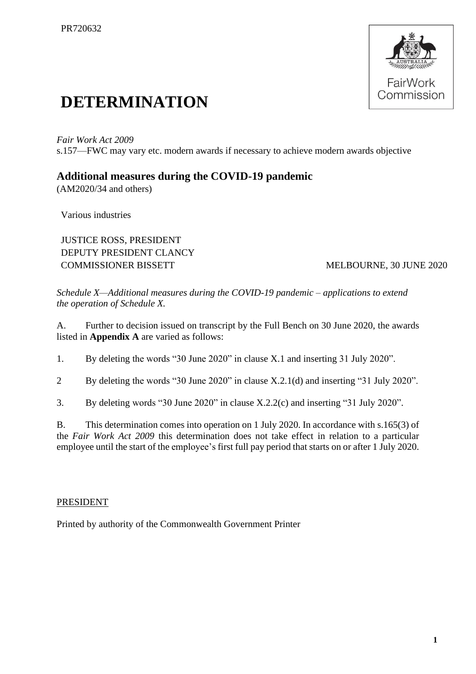

## **DETERMINATION**

*Fair Work Act 2009*  s.157—FWC may vary etc. modern awards if necessary to achieve modern awards objective

## **Additional measures during the COVID-19 pandemic**

(AM2020/34 and others)

Various industries

JUSTICE ROSS, PRESIDENT DEPUTY PRESIDENT CLANCY COMMISSIONER BISSETT MELBOURNE, 30 JUNE 2020

*Schedule X—Additional measures during the COVID-19 pandemic – applications to extend the operation of Schedule X.*

A. Further to decision issued on transcript by the Full Bench on 30 June 2020, the awards listed in **Appendix A** are varied as follows:

1. By deleting the words "30 June 2020" in clause X.1 and inserting 31 July 2020".

2 By deleting the words "30 June 2020" in clause X.2.1(d) and inserting "31 July 2020".

3. By deleting words "30 June 2020" in clause X.2.2(c) and inserting "31 July 2020".

B. This determination comes into operation on 1 July 2020. In accordance with s.165(3) of the *Fair Work Act 2009* this determination does not take effect in relation to a particular employee until the start of the employee's first full pay period that starts on or after 1 July 2020.

## PRESIDENT

Printed by authority of the Commonwealth Government Printer